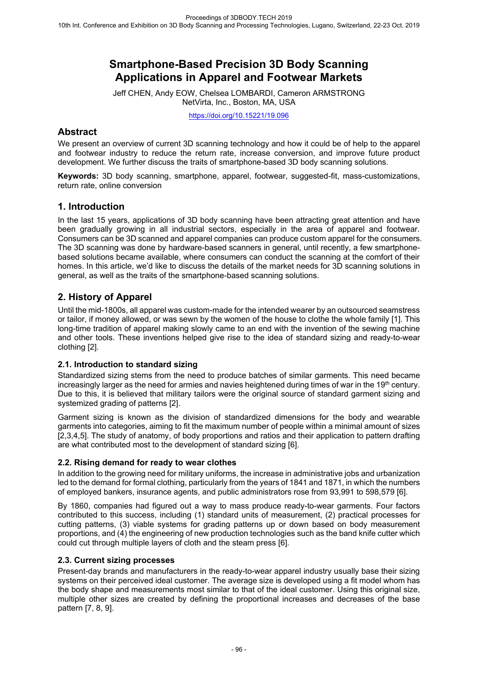# **Smartphone-Based Precision 3D Body Scanning Applications in Apparel and Footwear Markets**

Jeff CHEN, Andy EOW, Chelsea LOMBARDI, Cameron ARMSTRONG NetVirta, Inc., Boston, MA, USA

https://doi.org/10.15221/19.096

## **Abstract**

We present an overview of current 3D scanning technology and how it could be of help to the apparel and footwear industry to reduce the return rate, increase conversion, and improve future product development. We further discuss the traits of smartphone-based 3D body scanning solutions.

**Keywords:** 3D body scanning, smartphone, apparel, footwear, suggested-fit, mass-customizations, return rate, online conversion

### **1. Introduction**

In the last 15 years, applications of 3D body scanning have been attracting great attention and have been gradually growing in all industrial sectors, especially in the area of apparel and footwear. Consumers can be 3D scanned and apparel companies can produce custom apparel for the consumers. The 3D scanning was done by hardware-based scanners in general, until recently, a few smartphonebased solutions became available, where consumers can conduct the scanning at the comfort of their homes. In this article, we'd like to discuss the details of the market needs for 3D scanning solutions in general, as well as the traits of the smartphone-based scanning solutions.

# **2. History of Apparel**

Until the mid-1800s, all apparel was custom-made for the intended wearer by an outsourced seamstress or tailor, if money allowed, or was sewn by the women of the house to clothe the whole family [1]. This long-time tradition of apparel making slowly came to an end with the invention of the sewing machine and other tools. These inventions helped give rise to the idea of standard sizing and ready-to-wear clothing [2].

### **2.1. Introduction to standard sizing**

Standardized sizing stems from the need to produce batches of similar garments. This need became increasingly larger as the need for armies and navies heightened during times of war in the 19<sup>th</sup> century. Due to this, it is believed that military tailors were the original source of standard garment sizing and systemized grading of patterns [2].

Garment sizing is known as the division of standardized dimensions for the body and wearable garments into categories, aiming to fit the maximum number of people within a minimal amount of sizes [2,3,4,5]. The study of anatomy, of body proportions and ratios and their application to pattern drafting are what contributed most to the development of standard sizing [6].

#### **2.2. Rising demand for ready to wear clothes**

In addition to the growing need for military uniforms, the increase in administrative jobs and urbanization led to the demand for formal clothing, particularly from the years of 1841 and 1871, in which the numbers of employed bankers, insurance agents, and public administrators rose from 93,991 to 598,579 [6].

By 1860, companies had figured out a way to mass produce ready-to-wear garments. Four factors contributed to this success, including (1) standard units of measurement, (2) practical processes for cutting patterns, (3) viable systems for grading patterns up or down based on body measurement proportions, and (4) the engineering of new production technologies such as the band knife cutter which could cut through multiple layers of cloth and the steam press [6].

### **2.3. Current sizing processes**

Present-day brands and manufacturers in the ready-to-wear apparel industry usually base their sizing systems on their perceived ideal customer. The average size is developed using a fit model whom has the body shape and measurements most similar to that of the ideal customer. Using this original size, multiple other sizes are created by defining the proportional increases and decreases of the base pattern [7, 8, 9].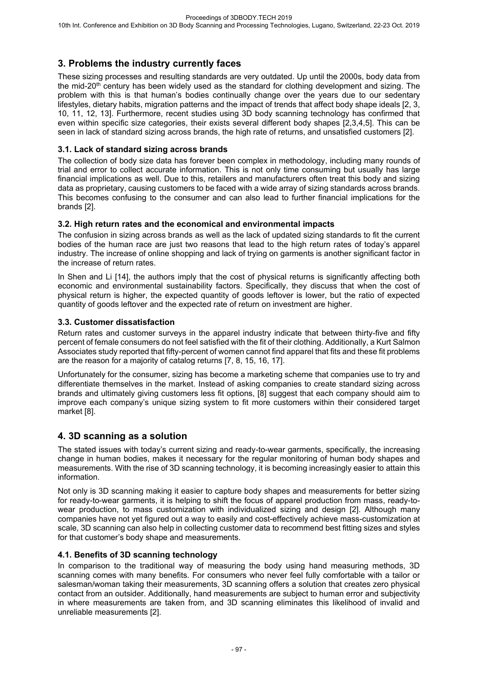# **3. Problems the industry currently faces**

These sizing processes and resulting standards are very outdated. Up until the 2000s, body data from the mid-20<sup>th</sup> century has been widely used as the standard for clothing development and sizing. The problem with this is that human's bodies continually change over the years due to our sedentary lifestyles, dietary habits, migration patterns and the impact of trends that affect body shape ideals [2, 3, 10, 11, 12, 13]. Furthermore, recent studies using 3D body scanning technology has confirmed that even within specific size categories, their exists several different body shapes [2,3,4,5]. This can be seen in lack of standard sizing across brands, the high rate of returns, and unsatisfied customers [2].

### **3.1. Lack of standard sizing across brands**

The collection of body size data has forever been complex in methodology, including many rounds of trial and error to collect accurate information. This is not only time consuming but usually has large financial implications as well. Due to this, retailers and manufacturers often treat this body and sizing data as proprietary, causing customers to be faced with a wide array of sizing standards across brands. This becomes confusing to the consumer and can also lead to further financial implications for the brands [2].

#### **3.2. High return rates and the economical and environmental impacts**

The confusion in sizing across brands as well as the lack of updated sizing standards to fit the current bodies of the human race are just two reasons that lead to the high return rates of today's apparel industry. The increase of online shopping and lack of trying on garments is another significant factor in the increase of return rates.

In Shen and Li [14], the authors imply that the cost of physical returns is significantly affecting both economic and environmental sustainability factors. Specifically, they discuss that when the cost of physical return is higher, the expected quantity of goods leftover is lower, but the ratio of expected quantity of goods leftover and the expected rate of return on investment are higher.

### **3.3. Customer dissatisfaction**

Return rates and customer surveys in the apparel industry indicate that between thirty-five and fifty percent of female consumers do not feel satisfied with the fit of their clothing. Additionally, a Kurt Salmon Associates study reported that fifty-percent of women cannot find apparel that fits and these fit problems are the reason for a majority of catalog returns [7, 8, 15, 16, 17].

Unfortunately for the consumer, sizing has become a marketing scheme that companies use to try and differentiate themselves in the market. Instead of asking companies to create standard sizing across brands and ultimately giving customers less fit options, [8] suggest that each company should aim to improve each company's unique sizing system to fit more customers within their considered target market [8].

### **4. 3D scanning as a solution**

The stated issues with today's current sizing and ready-to-wear garments, specifically, the increasing change in human bodies, makes it necessary for the regular monitoring of human body shapes and measurements. With the rise of 3D scanning technology, it is becoming increasingly easier to attain this information.

Not only is 3D scanning making it easier to capture body shapes and measurements for better sizing for ready-to-wear garments, it is helping to shift the focus of apparel production from mass, ready-towear production, to mass customization with individualized sizing and design [2]. Although many companies have not yet figured out a way to easily and cost-effectively achieve mass-customization at scale, 3D scanning can also help in collecting customer data to recommend best fitting sizes and styles for that customer's body shape and measurements.

### **4.1. Benefits of 3D scanning technology**

In comparison to the traditional way of measuring the body using hand measuring methods, 3D scanning comes with many benefits. For consumers who never feel fully comfortable with a tailor or salesman/woman taking their measurements, 3D scanning offers a solution that creates zero physical contact from an outsider. Additionally, hand measurements are subject to human error and subjectivity in where measurements are taken from, and 3D scanning eliminates this likelihood of invalid and unreliable measurements [2].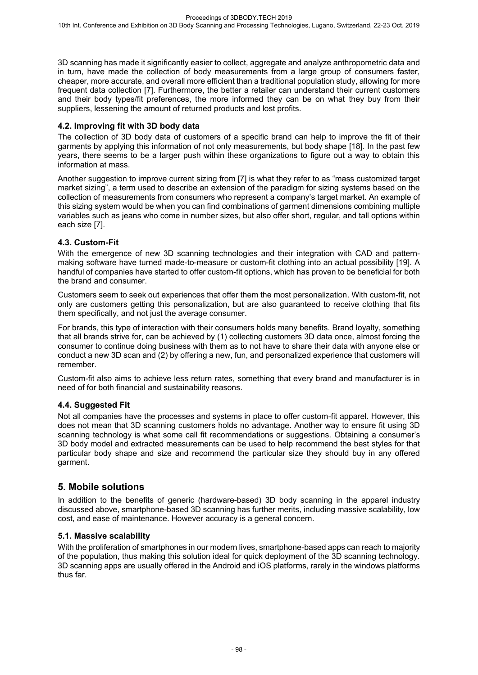3D scanning has made it significantly easier to collect, aggregate and analyze anthropometric data and in turn, have made the collection of body measurements from a large group of consumers faster, cheaper, more accurate, and overall more efficient than a traditional population study, allowing for more frequent data collection [7]. Furthermore, the better a retailer can understand their current customers and their body types/fit preferences, the more informed they can be on what they buy from their suppliers, lessening the amount of returned products and lost profits.

### **4.2. Improving fit with 3D body data**

The collection of 3D body data of customers of a specific brand can help to improve the fit of their garments by applying this information of not only measurements, but body shape [18]. In the past few years, there seems to be a larger push within these organizations to figure out a way to obtain this information at mass.

Another suggestion to improve current sizing from [7] is what they refer to as "mass customized target market sizing", a term used to describe an extension of the paradigm for sizing systems based on the collection of measurements from consumers who represent a company's target market. An example of this sizing system would be when you can find combinations of garment dimensions combining multiple variables such as jeans who come in number sizes, but also offer short, regular, and tall options within each size [7].

### **4.3. Custom-Fit**

With the emergence of new 3D scanning technologies and their integration with CAD and patternmaking software have turned made-to-measure or custom-fit clothing into an actual possibility [19]. A handful of companies have started to offer custom-fit options, which has proven to be beneficial for both the brand and consumer.

Customers seem to seek out experiences that offer them the most personalization. With custom-fit, not only are customers getting this personalization, but are also guaranteed to receive clothing that fits them specifically, and not just the average consumer.

For brands, this type of interaction with their consumers holds many benefits. Brand loyalty, something that all brands strive for, can be achieved by (1) collecting customers 3D data once, almost forcing the consumer to continue doing business with them as to not have to share their data with anyone else or conduct a new 3D scan and (2) by offering a new, fun, and personalized experience that customers will remember.

Custom-fit also aims to achieve less return rates, something that every brand and manufacturer is in need of for both financial and sustainability reasons.

### **4.4. Suggested Fit**

Not all companies have the processes and systems in place to offer custom-fit apparel. However, this does not mean that 3D scanning customers holds no advantage. Another way to ensure fit using 3D scanning technology is what some call fit recommendations or suggestions. Obtaining a consumer's 3D body model and extracted measurements can be used to help recommend the best styles for that particular body shape and size and recommend the particular size they should buy in any offered garment.

### **5. Mobile solutions**

In addition to the benefits of generic (hardware-based) 3D body scanning in the apparel industry discussed above, smartphone-based 3D scanning has further merits, including massive scalability, low cost, and ease of maintenance. However accuracy is a general concern.

### **5.1. Massive scalability**

With the proliferation of smartphones in our modern lives, smartphone-based apps can reach to majority of the population, thus making this solution ideal for quick deployment of the 3D scanning technology. 3D scanning apps are usually offered in the Android and iOS platforms, rarely in the windows platforms thus far.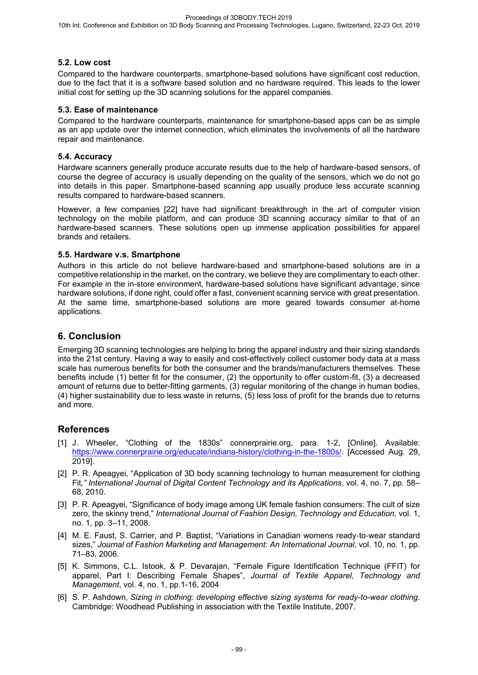### **5.2. Low cost**

Compared to the hardware counterparts, smartphone-based solutions have significant cost reduction, due to the fact that it is a software based solution and no hardware required. This leads to the lower initial cost for setting up the 3D scanning solutions for the apparel companies.

### **5.3. Ease of maintenance**

Compared to the hardware counterparts, maintenance for smartphone-based apps can be as simple as an app update over the internet connection, which eliminates the involvements of all the hardware repair and maintenance.

#### **5.4. Accuracy**

Hardware scanners generally produce accurate results due to the help of hardware-based sensors, of course the degree of accuracy is usually depending on the quality of the sensors, which we do not go into details in this paper. Smartphone-based scanning app usually produce less accurate scanning results compared to hardware-based scanners.

However, a few companies [22] have had significant breakthrough in the art of computer vision technology on the mobile platform, and can produce 3D scanning accuracy similar to that of an hardware-based scanners. These solutions open up immense application possibilities for apparel brands and retailers.

#### **5.5. Hardware v.s. Smartphone**

Authors in this article do not believe hardware-based and smartphone-based solutions are in a competitive relationship in the market, on the contrary, we believe they are complimentary to each other. For example in the in-store environment, hardware-based solutions have significant advantage, since hardware solutions, if done right, could offer a fast, convenient scanning service with great presentation. At the same time, smartphone-based solutions are more geared towards consumer at-home applications.

## **6. Conclusion**

Emerging 3D scanning technologies are helping to bring the apparel industry and their sizing standards into the 21st century. Having a way to easily and cost-effectively collect customer body data at a mass scale has numerous benefits for both the consumer and the brands/manufacturers themselves. These benefits include (1) better fit for the consumer, (2) the opportunity to offer custom-fit, (3) a decreased amount of returns due to better-fitting garments, (3) regular monitoring of the change in human bodies, (4) higher sustainability due to less waste in returns, (5) less loss of profit for the brands due to returns and more.

### **References**

- [1] J. Wheeler, "Clothing of the 1830s" connerprairie.org, para. 1-2, [Online]. Available: https://www.connerprairie.org/educate/indiana-history/clothing-in-the-1800s/. [Accessed Aug. 29, 2019].
- [2] P. R. Apeagyei, "Application of 3D body scanning technology to human measurement for clothing Fit*," International Journal of Digital Content Technology and its Applications*, vol. 4, no. 7, pp. 58– 68, 2010.
- [3] P. R. Apeagyei, "Significance of body image among UK female fashion consumers: The cult of size zero, the skinny trend," *International Journal of Fashion Design, Technology and Education*, vol. 1, no. 1, pp. 3–11, 2008.
- [4] M. E. Faust, S. Carrier, and P. Baptist, "Variations in Canadian womens ready-to-wear standard sizes," *Journal of Fashion Marketing and Management: An International Journal*, vol. 10, no. 1, pp. 71–83, 2006.
- [5] K. Simmons, C.L. Istook, & P. Devarajan, "Female Figure Identification Technique (FFIT) for apparel, Part I: Describing Female Shapes", *Journal of Textile Apparel, Technology and Management*, vol. 4, no. 1, pp.1-16, 2004
- [6] S. P. Ashdown, *Sizing in clothing: developing effective sizing systems for ready-to-wear clothing*. Cambridge: Woodhead Publishing in association with the Textile Institute, 2007.